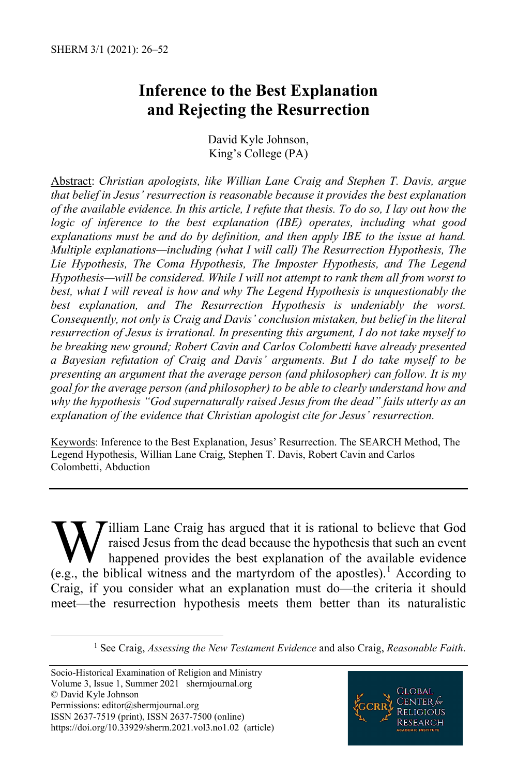# **Inference to the Best Explanation and Rejecting the Resurrection**

David Kyle Johnson, King's College (PA)

Abstract: *Christian apologists, like Willian Lane Craig and Stephen T. Davis, argue that belief in Jesus' resurrection is reasonable because it provides the best explanation of the available evidence. In this article, I refute that thesis. To do so, I lay out how the logic of inference to the best explanation (IBE) operates, including what good explanations must be and do by definition, and then apply IBE to the issue at hand. Multiple explanations—including (what I will call) The Resurrection Hypothesis, The Lie Hypothesis, The Coma Hypothesis, The Imposter Hypothesis, and The Legend Hypothesis—will be considered. While I will not attempt to rank them all from worst to best, what I will reveal is how and why The Legend Hypothesis is unquestionably the best explanation, and The Resurrection Hypothesis is undeniably the worst. Consequently, not only is Craig and Davis' conclusion mistaken, but belief in the literal resurrection of Jesus is irrational. In presenting this argument, I do not take myself to be breaking new ground; Robert Cavin and Carlos Colombetti have already presented a Bayesian refutation of Craig and Davis' arguments. But I do take myself to be presenting an argument that the average person (and philosopher) can follow. It is my goal for the average person (and philosopher) to be able to clearly understand how and why the hypothesis "God supernaturally raised Jesus from the dead" fails utterly as an explanation of the evidence that Christian apologist cite for Jesus' resurrection.* 

Keywords: Inference to the Best Explanation, Jesus' Resurrection. The SEARCH Method, The Legend Hypothesis, Willian Lane Craig, Stephen T. Davis, Robert Cavin and Carlos Colombetti, Abduction

illiam Lane Craig has argued that it is rational to believe that God raised Jesus from the dead because the hypothesis that such an event happened provides the best explanation of the available evidence **W** illiam Lane Craig has argued that it is rational to believe that God raised Jesus from the dead because the hypothesis that such an event happened provides the best explanation of the available evidence (e.g., the bibl Craig, if you consider what an explanation must do—the criteria it should meet—the resurrection hypothesis meets them better than its naturalistic



<span id="page-0-0"></span> <sup>1</sup> See Craig, *Assessing the New Testament Evidence* and also Craig, *Reasonable Faith*.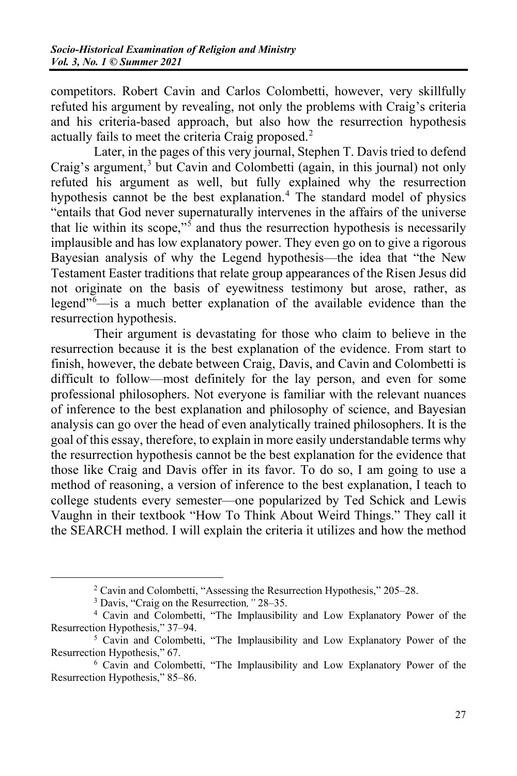competitors. Robert Cavin and Carlos Colombetti, however, very skillfully refuted his argument by revealing, not only the problems with Craig's criteria and his criteria-based approach, but also how the resurrection hypothesis actually fails to meet the criteria Craig proposed.<sup>[2](#page-1-0)</sup>

Later, in the pages of this very journal, Stephen T. Davis tried to defend Craig's argument,<sup>[3](#page-1-1)</sup> but Cavin and Colombetti (again, in this journal) not only refuted his argument as well, but fully explained why the resurrection hypothesis cannot be the best explanation.<sup>[4](#page-1-2)</sup> The standard model of physics "entails that God never supernaturally intervenes in the affairs of the universe that lie within its scope,"<sup>[5](#page-1-3)</sup> and thus the resurrection hypothesis is necessarily implausible and has low explanatory power. They even go on to give a rigorous Bayesian analysis of why the Legend hypothesis—the idea that "the New Testament Easter traditions that relate group appearances of the Risen Jesus did not originate on the basis of eyewitness testimony but arose, rather, as legend<sup>"[6](#page-1-4)</sup>—is a much better explanation of the available evidence than the resurrection hypothesis.

Their argument is devastating for those who claim to believe in the resurrection because it is the best explanation of the evidence. From start to finish, however, the debate between Craig, Davis, and Cavin and Colombetti is difficult to follow—most definitely for the lay person, and even for some professional philosophers. Not everyone is familiar with the relevant nuances of inference to the best explanation and philosophy of science, and Bayesian analysis can go over the head of even analytically trained philosophers. It is the goal of this essay, therefore, to explain in more easily understandable terms why the resurrection hypothesis cannot be the best explanation for the evidence that those like Craig and Davis offer in its favor. To do so, I am going to use a method of reasoning, a version of inference to the best explanation, I teach to college students every semester—one popularized by Ted Schick and Lewis Vaughn in their textbook "How To Think About Weird Things." They call it the SEARCH method. I will explain the criteria it utilizes and how the method

<span id="page-1-2"></span><span id="page-1-1"></span><span id="page-1-0"></span><sup>2</sup> Cavin and Colombetti, "Assessing the Resurrection Hypothesis," 205‒28. 3 Davis, "Craig on the Resurrection*,"* 28‒35. 4 Cavin and Colombetti, "The Implausibility and Low Explanatory Power of the Resurrection Hypothesis," 37–94.<br><sup>5</sup> Cavin and Colombetti, "The Implausibility and Low Explanatory Power of the

<span id="page-1-3"></span>Resurrection Hypothesis," 67.<br><sup>6</sup> Cavin and Colombetti, "The Implausibility and Low Explanatory Power of the

<span id="page-1-4"></span>Resurrection Hypothesis," 85–86.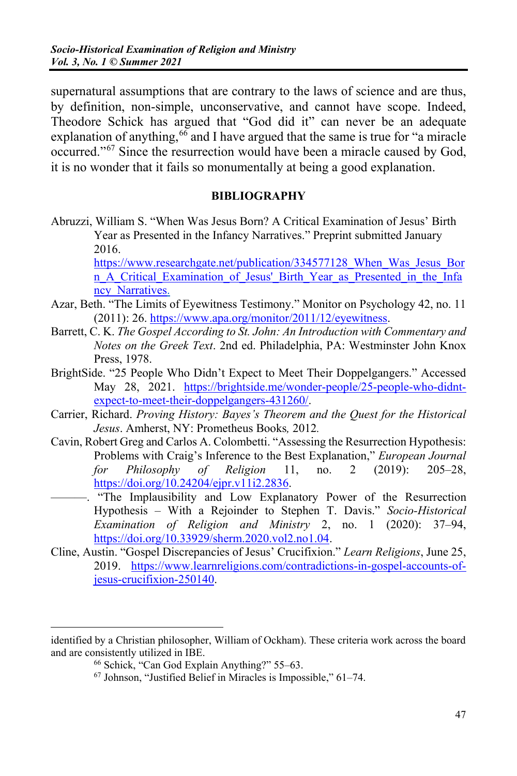supernatural assumptions that are contrary to the laws of science and are thus, by definition, non-simple, unconservative, and cannot have scope. Indeed, Theodore Schick has argued that "God did it" can never be an adequate explanation of anything,  $66$  and I have argued that the same is true for "a miracle occurred."[67](#page-2-1) Since the resurrection would have been a miracle caused by God, it is no wonder that it fails so monumentally at being a good explanation.

#### **BIBLIOGRAPHY**

Abruzzi, William S. "When Was Jesus Born? A Critical Examination of Jesus' Birth Year as Presented in the Infancy Narratives." Preprint submitted January 2016.

https://www.researchgate.net/publication/334577128 When Was Jesus Bor [n\\_A\\_Critical\\_Examination\\_of\\_Jesus'\\_Birth\\_Year\\_as\\_Presented\\_in\\_the\\_Infa](https://www.researchgate.net/publication/334577128_When_Was_Jesus_Born_A_Critical_Examination_of_Jesus) ncy Narratives.

- Azar, Beth. "The Limits of Eyewitness Testimony." Monitor on Psychology 42, no. 11 (2011): 26[. https://www.apa.org/monitor/2011/12/eyewitness.](https://www.apa.org/monitor/2011/12/eyewitness)
- Barrett, C. K. *The Gospel According to St. John: An Introduction with Commentary and Notes on the Greek Text*. 2nd ed. Philadelphia, PA: Westminster John Knox Press, 1978.
- BrightSide. "25 People Who Didn't Expect to Meet Their Doppelgangers." Accessed May 28, 2021. [https://brightside.me/wonder-people/25-people-who-didnt](https://brightside.me/wonder-people/25-people-who-didnt-expect-to-meet-their-doppelgangers-431260/)[expect-to-meet-their-doppelgangers-431260/.](https://brightside.me/wonder-people/25-people-who-didnt-expect-to-meet-their-doppelgangers-431260/)
- Carrier, Richard. *Proving History: Bayes's Theorem and the Quest for the Historical Jesus*. Amherst, NY: Prometheus Books*,* 2012*.*
- Cavin, Robert Greg and Carlos A. Colombetti. "Assessing the Resurrection Hypothesis: Problems with Craig's Inference to the Best Explanation," *European Journal*  for Philosophy of Religion 11, no. 2 (2019): 205–28, [https://doi.org/10.24204/ejpr.v11i2.2836.](https://doi.org/10.24204/ejpr.v11i2.2836) 
	- . "The Implausibility and Low Explanatory Power of the Resurrection Hypothesis – With a Rejoinder to Stephen T. Davis." *Socio-Historical Examination of Religion and Ministry* 2, no. 1 (2020): 37‒94, [https://doi.org/10.33929/sherm.2020.vol2.no1.04.](https://doi.org/10.33929/sherm.2020.vol2.no1.04)
- Cline, Austin. "Gospel Discrepancies of Jesus' Crucifixion." *Learn Religions*, June 25, 2019. [https://www.learnreligions.com/contradictions-in-gospel-accounts-of](https://www.learnreligions.com/contradictions-in-gospel-accounts-of-jesus-crucifixion-250140)[jesus-crucifixion-250140.](https://www.learnreligions.com/contradictions-in-gospel-accounts-of-jesus-crucifixion-250140)

 $\overline{a}$ 

<span id="page-2-1"></span><span id="page-2-0"></span>identified by a Christian philosopher, William of Ockham). These criteria work across the board and are consistently utilized in IBE.<br>
<sup>66</sup> Schick, "Can God Explain Anything?" 55–63.<br>
<sup>67</sup> Johnson, "Justified Belief in Miracles is Impossible," 61–74.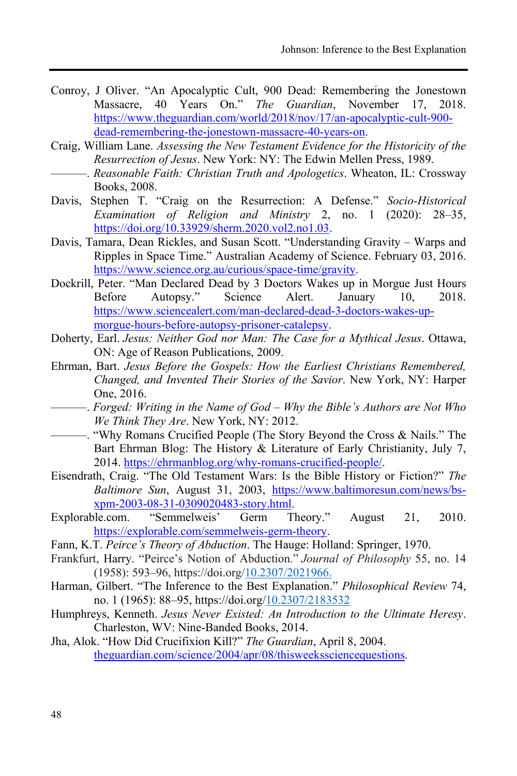- Conroy, J Oliver. "An Apocalyptic Cult, 900 Dead: Remembering the Jonestown Massacre, 40 Years On." *The Guardian*, November 17, 2018. [https://www.theguardian.com/world/2018/nov/17/an-apocalyptic-cult-900](https://www.theguardian.com/world/2018/nov/17/an-apocalyptic-cult-900-dead-remembering-the-jonestown-massacre-40-years-on) [dead-remembering-the-jonestown-massacre-40-years-on.](https://www.theguardian.com/world/2018/nov/17/an-apocalyptic-cult-900-dead-remembering-the-jonestown-massacre-40-years-on)
- Craig, William Lane. *Assessing the New Testament Evidence for the Historicity of the Resurrection of Jesus*. New York: NY: The Edwin Mellen Press, 1989.
	- ———. *Reasonable Faith: Christian Truth and Apologetics*. Wheaton, IL: Crossway Books, 2008.
- Davis, Stephen T. "Craig on the Resurrection: A Defense." *Socio-Historical Examination of Religion and Ministry 2, no. 1 (2020): 28-35,* https://doi.org/10.33929/sherm.2020.vol2.no1.03.
- Davis, Tamara, Dean Rickles, and Susan Scott. "Understanding Gravity Warps and Ripples in Space Time." Australian Academy of Science. February 03, 2016. [https://www.science.org.au/curious/space-time/gravity.](https://www.science.org.au/curious/space-time/gravity)
- Dockrill, Peter. "Man Declared Dead by 3 Doctors Wakes up in Morgue Just Hours Before Autopsy." Science Alert. January 10, 2018. [https://www.sciencealert.com/man-declared-dead-](https://www.sciencealert.com/man-declared-dead-3-doctors-wakes-up-morgue-hours-before-autopsy-prisoner-catalepsy)3-doctors-wakes-up[morgue-hours-before-autopsy-prisoner-catalepsy.](https://www.sciencealert.com/man-declared-dead-3-doctors-wakes-up-morgue-hours-before-autopsy-prisoner-catalepsy)
- Doherty, Earl. *Jesus: Neither God nor Man: The Case for a Mythical Jesus*. Ottawa, ON: Age of Reason Publications, 2009.
- Ehrman, Bart. *Jesus Before the Gospels: How the Earliest Christians Remembered, Changed, and Invented Their Stories of the Savior*. New York, NY: Harper One, 2016.
- ———. *Forged: Writing in the Name of God Why the Bible's Authors are Not Who We Think They Are*. New York, NY: 2012.
- ———. "Why Romans Crucified People (The Story Beyond the Cross & Nails." The Bart Ehrman Blog: The History  $&$  Literature of Early Christianity, July 7, 2014[. https://ehrmanblog.org/why-romans-crucified-people/.](https://ehrmanblog.org/why-romans-crucified-people/)
- Eisendrath, Craig. "The Old Testament Wars: Is the Bible History or Fiction?" The *Baltimore Sun*, August 31, 2003, [https://www.baltimoresun.com/news/bs](https://www.baltimoresun.com/news/bs-xpm-2003-08-31-0309020483-story.html)xpm-2003-08-31-[03002083](https://www.baltimoresun.com/news/bs-xpm-2003-08-31-0309020483-story.html)-story.html.
- Explorable.com. "Semmelweis' Germ Theory." August 21, 2010. [https://explorable.com/semmelweis-germ-theory.](https://explorable.com/semmelweis-germ-theory)
- Fann, K.T. *Peirce's Theory of Abduction*. The Hauge: Holland: Springer, 1970.
- Frankfurt, Harry. "Peirce's Notion of Abduction." *Journal of Philosophy* 55, no. 1  $(1958): 593–96$ , https://doi.org/10.2307/2021966.
- Harman, Gilbert. "The Inference to the Best Explanation." *Philosophical Review* 74, no. 1 (1965): 88–95, https://doi.org/10.2307/2183532
- Humphreys, Kenneth. *Jesus Never Existed: An Introduction to the Ultimate Heresy*. Charleston, WV: Nine-Banded Books, 2014.
- Jha, Alok. "How Did Crucifixion Kill?" *The Guardian*, April 8, 2004. [theguardian.com/science/2004/apr/08/thisweekssciencequestions.](http://www.theguardian.com/science/2004/apr/08/thisweekssciencequestions)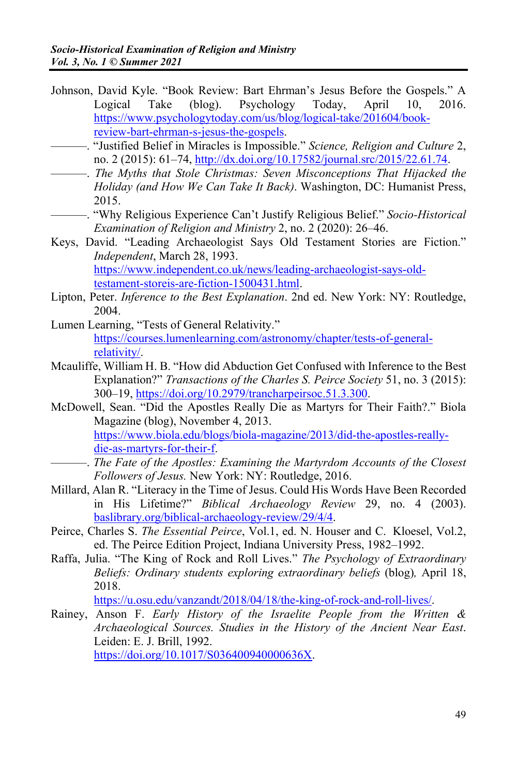- Johnson, David Kyle. "Book Review: Bart Ehrman's Jesus Before the Gospels." A Logical Take  $(h \log)$ . Psychology Today. April  $10.$ 2016. https://www.psychologytoday.com/us/blog/logical-take/201604/bookreview-bart-ehrman-s-iesus-the-gospels.
- -. "Justified Belief in Miracles is Impossible." Science, Religion and Culture 2, no. 2 (2015): 61-74, http://dx.doi.org/10.17582/journal.src/2015/22.61.74.
	- The Myths that Stole Christmas: Seven Misconceptions That Hijacked the Holiday (and How We Can Take It Back). Washington, DC: Humanist Press, 2015.
- -. "Why Religious Experience Can't Justify Religious Belief." Socio-Historical Examination of Religion and Ministry 2, no. 2 (2020): 26–46.
- Keys, David. "Leading Archaeologist Says Old Testament Stories are Fiction." Independent, March 28, 1993. https://www.independent.co.uk/news/leading-archaeologist-says-oldtestament-storeis-are-fiction-1500431.html.
- Lipton, Peter. Inference to the Best Explanation. 2nd ed. New York: NY: Routledge, 2004
- Lumen Learning, "Tests of General Relativity." https://courses.lumenlearning.com/astronomy/chapter/tests-of-generalrelativity/.
- Mcauliffe, William H. B. "How did Abduction Get Confused with Inference to the Best Explanation?" Transactions of the Charles S. Peirce Society 51, no. 3 (2015): 300-19, https://doi.org/10.2979/trancharpeirsoc.51.3.300.
- McDowell, Sean. "Did the Apostles Really Die as Martyrs for Their Faith?." Biola Magazine (blog), November 4, 2013. https://www.biola.edu/blogs/biola-magazine/2013/did-the-apostles-reallydie-as-martyrs-for-their-f.
- -. The Fate of the Apostles: Examining the Martyrdom Accounts of the Closest Followers of Jesus. New York: NY: Routledge, 2016.
- Millard, Alan R. "Literacy in the Time of Jesus. Could His Words Have Been Recorded in His Lifetime?" Biblical Archaeology Review 29, no. 4 (2003). baslibrary.org/biblical-archaeology-review/29/4/4.
- Peirce, Charles S. The Essential Peirce, Vol.1, ed. N. Houser and C. Kloesel, Vol.2, ed. The Peirce Edition Project, Indiana University Press, 1982–1992.
- Raffa, Julia. "The King of Rock and Roll Lives." The Psychology of Extraordinary Beliefs: Ordinary students exploring extraordinary beliefs (blog), April 18, 2018.

https://u.osu.edu/vanzandt/2018/04/18/the-king-of-rock-and-roll-lives/.

Rainey, Anson F. Early History of the Israelite People from the Written & Archaeological Sources. Studies in the History of the Ancient Near East. Leiden: E. J. Brill, 1992.

https://doi.org/10.1017/S036400940000636X.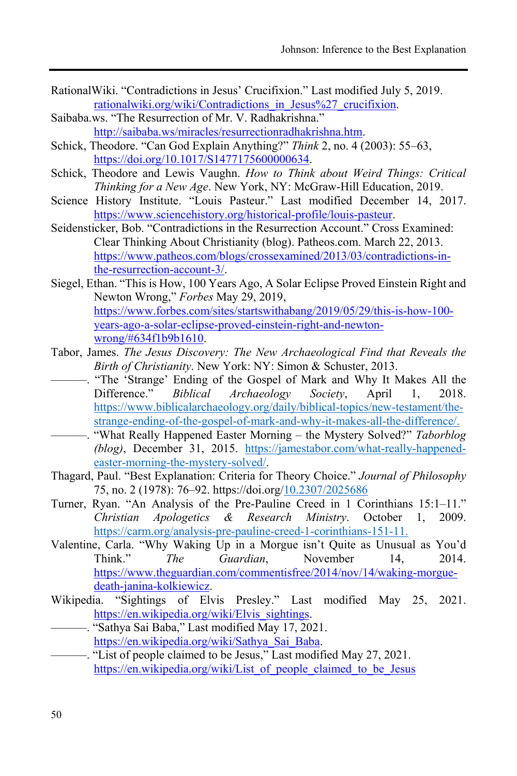- Rational Wiki. "Contradictions in Jesus' Crucifixion." Last modified July 5, 2019. rationalwiki.org/wiki/Contradictions in Jesus%27 crucifixion.
- Saibaba.ws. "The Resurrection of Mr. V. Radhakrishna." http://saibaba.ws/miracles/resurrectionradhakrishna.htm.
- Schick, Theodore. "Can God Explain Anything?" Think 2, no. 4 (2003): 55–63, https://doi.org/10.1017/S1477175600000634.
- Schick, Theodore and Lewis Vaughn. How to Think about Weird Things: Critical Thinking for a New Age. New York, NY: McGraw-Hill Education, 2019.
- Science History Institute. "Louis Pasteur." Last modified December 14, 2017. https://www.sciencehistory.org/historical-profile/louis-pasteur.
- Seidensticker, Bob. "Contradictions in the Resurrection Account." Cross Examined: Clear Thinking About Christianity (blog). Patheos.com. March 22, 2013. https://www.patheos.com/blogs/crossexamined/2013/03/contradictions-inthe-resurrection-account-3/.
- Siegel, Ethan. "This is How, 100 Years Ago, A Solar Eclipse Proved Einstein Right and Newton Wrong," Forbes May 29, 2019. https://www.forbes.com/sites/startswithabang/2019/05/29/this-is-how-100years-ago-a-solar-eclipse-proved-einstein-right-and-newtonwrong/#634f1b9b1610.
- Tabor, James. The Jesus Discovery: The New Archaeological Find that Reveals the Birth of Christianity. New York: NY: Simon & Schuster, 2013.
- -. "The 'Strange' Ending of the Gospel of Mark and Why It Makes All the Difference." *Biblical* Archaeology Society, April  $1.$ 2018. https://www.biblicalarchaeology.org/daily/biblical-topics/new-testament/thestrange-ending-of-the-gospel-of-mark-and-why-it-makes-all-the-difference/.
- -. "What Really Happened Easter Morning the Mystery Solved?" Taborblog (blog), December 31, 2015. https://jamestabor.com/what-really-happenedeaster-morning-the-mystery-solved/.
- Thagard, Paul. "Best Explanation: Criteria for Theory Choice." Journal of Philosophy 75, no. 2 (1978): 76–92. https://doi.org/10.2307/2025686
- Turner, Ryan. "An Analysis of the Pre-Pauline Creed in 1 Corinthians 15:1-11." Christian Apologetics & Research Ministry. October 1, 2009. https://carm.org/analysis-pre-pauline-creed-1-corinthians-151-11.
- Valentine, Carla. "Why Waking Up in a Morgue isn't Quite as Unusual as You'd Guardian. Think" The November 14. 2014 https://www.theguardian.com/commentisfree/2014/nov/14/waking-morguedeath-janina-kolkiewicz.
- Wikipedia. "Sightings of Elvis Presley." Last modified May 25, 2021. https://en.wikipedia.org/wiki/Elvis sightings.
- "Sathya Sai Baba," Last modified May 17, 2021. https://en.wikipedia.org/wiki/Sathya Sai Baba.
- "List of people claimed to be Jesus," Last modified May 27, 2021. https://en.wikipedia.org/wiki/List of people claimed to be Jesus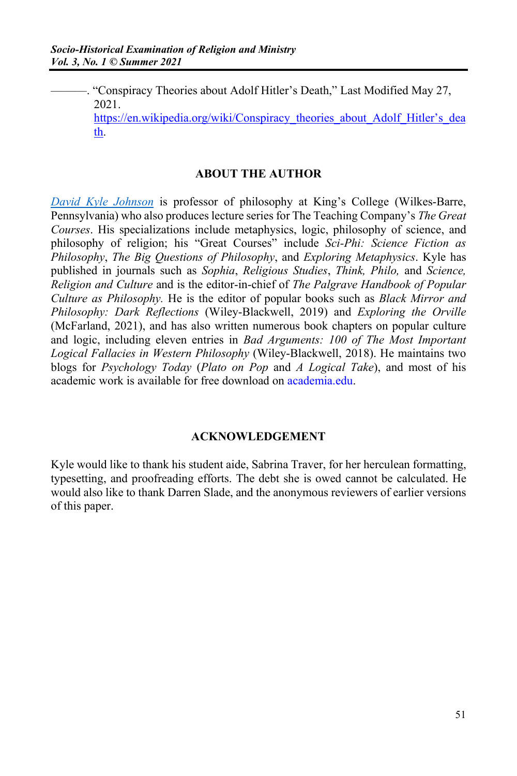—. "Conspiracy Theories about Adolf Hitler's Death," Last Modified May 27, 2021.

https://en.wikipedia.org/wiki/Conspiracy theories about Adolf Hitler's dea [th.](https://en.wikipedia.org/wiki/Conspiracy_theories_about_Adolf_Hitler%E2%80%99s_death) 

#### **ABOUT THE AUTHOR**

*[David Kyle Johnson](https://www.thegreatcourses.com/professors/david-k-johnson/)* is professor of philosophy at King's College (Wilkes-Barre, Pennsylvania) who also produces lecture series for The Teaching Company's *The Great Courses*. His specializations include metaphysics, logic, philosophy of science, and philosophy of religion; his "Great Courses" include *Sci-Phi: Science Fiction as Philosophy*, *The Big Questions of Philosophy*, and *Exploring Metaphysics*. Kyle has published in journals such as *Sophia*, *Religious Studies*, *Think, Philo,* and *Science, Religion and Culture* and is the editor-in-chief of *The Palgrave Handbook of Popular Culture as Philosophy.* He is the editor of popular books such as *Black Mirror and Philosophy: Dark Reflections* (Wiley-Blackwell, 2019) and *Exploring the Orville* (McFarland, 2021), and has also written numerous book chapters on popular culture and logic, including eleven entries in *Bad Arguments: 100 of The Most Important*  Logical Fallacies in Western Philosophy (Wiley-Blackwell, 2018). He maintains two blogs for *Psychology Today* (*Plato on Pop* and *A Logical Take*), and most of his academic work is available for free download on academia.edu.

#### **ACKNOWLEDGEMENT**

Kyle would like to thank his student aide, Sabrina Traver, for her herculean formatting, typesetting, and proofreading efforts. The debt she is owed cannot be calculated. He would also like to thank Darren Slade, and the anonymous reviewers of earlier versions of this paper.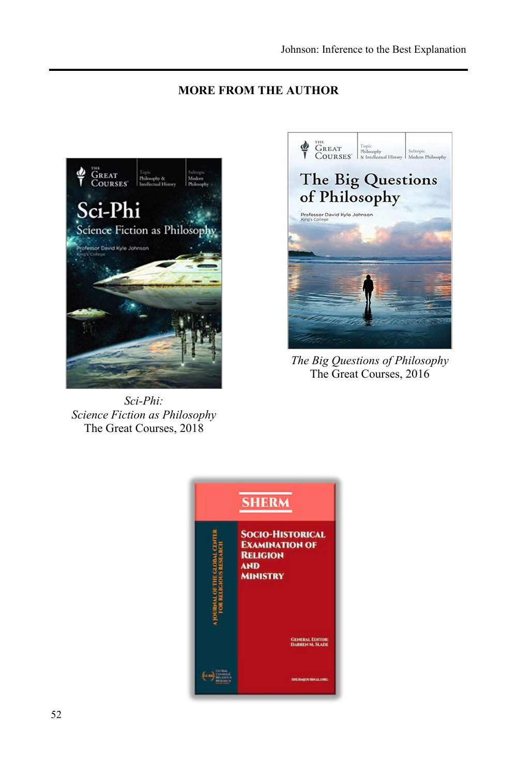### **MORE FROM THE AUTHOR**



*Sci-Phi: Science Fiction as Philosophy* The Great Courses, 2018



*The Big Questions of Philosophy* The Great Courses, 2016